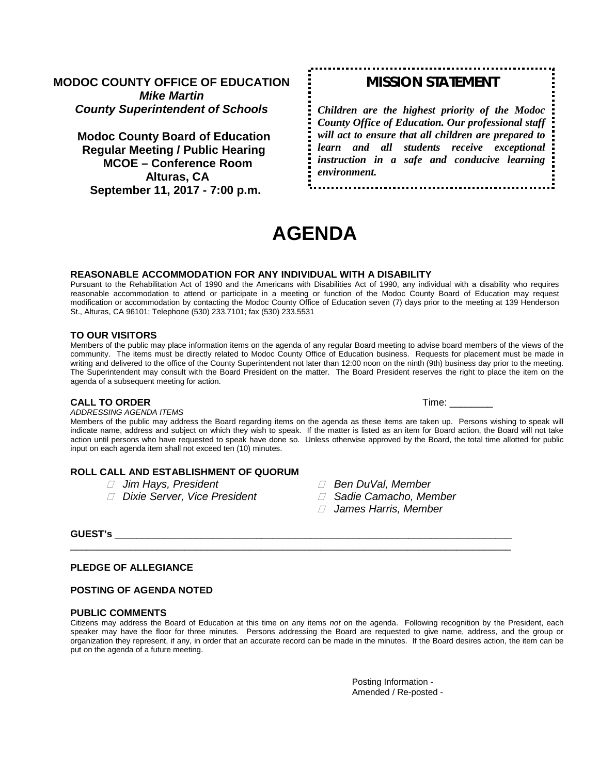# **MODOC COUNTY OFFICE OF EDUCATION** *Mike Martin County Superintendent of Schools*

**Modoc County Board of Education Regular Meeting / Public Hearing MCOE – Conference Room Alturas, CA September 11, 2017 - 7:00 p.m.**

# *MISSION STATEMENT*

. . . . . . . . . . . . . .

*Children are the highest priority of the Modoc County Office of Education. Our professional staff will act to ensure that all children are prepared to learn and all students receive exceptional instruction in a safe and conducive learning environment.*

**AGENDA**

#### **REASONABLE ACCOMMODATION FOR ANY INDIVIDUAL WITH A DISABILITY**

Pursuant to the Rehabilitation Act of 1990 and the Americans with Disabilities Act of 1990, any individual with a disability who requires reasonable accommodation to attend or participate in a meeting or function of the Modoc County Board of Education may request modification or accommodation by contacting the Modoc County Office of Education seven (7) days prior to the meeting at 139 Henderson St., Alturas, CA 96101; Telephone (530) 233.7101; fax (530) 233.5531

#### **TO OUR VISITORS**

Members of the public may place information items on the agenda of any regular Board meeting to advise board members of the views of the community. The items must be directly related to Modoc County Office of Education business. Requests for placement must be made in writing and delivered to the office of the County Superintendent not later than 12:00 noon on the ninth (9th) business day prior to the meeting. The Superintendent may consult with the Board President on the matter. The Board President reserves the right to place the item on the agenda of a subsequent meeting for action.

#### **CALL TO ORDER Time:**  $\blacksquare$

*ADDRESSING AGENDA ITEMS*

Members of the public may address the Board regarding items on the agenda as these items are taken up. Persons wishing to speak will indicate name, address and subject on which they wish to speak. If the matter is listed as an item for Board action, the Board will not take action until persons who have requested to speak have done so. Unless otherwise approved by the Board, the total time allotted for public input on each agenda item shall not exceed ten (10) minutes.

## **ROLL CALL AND ESTABLISHMENT OF QUORUM**

- 
- *Dixie Server, Vice President Sadie Camacho, Member*
- *Jim Hays, President Ben DuVal, Member*
	-
	- *James Harris, Member*

## **GUEST's** \_\_\_\_\_\_\_\_\_\_\_\_\_\_\_\_\_\_\_\_\_\_\_\_\_\_\_\_\_\_\_\_\_\_\_\_\_\_\_\_\_\_\_\_\_\_\_\_\_\_\_\_\_\_\_\_\_\_\_\_\_\_\_\_\_\_\_\_\_\_\_\_\_

## **PLEDGE OF ALLEGIANCE**

#### **POSTING OF AGENDA NOTED**

#### **PUBLIC COMMENTS**

Citizens may address the Board of Education at this time on any items *not* on the agenda. Following recognition by the President, each speaker may have the floor for three minutes. Persons addressing the Board are requested to give name, address, and the group or organization they represent, if any, in order that an accurate record can be made in the minutes. If the Board desires action, the item can be put on the agenda of a future meeting.

\_\_\_\_\_\_\_\_\_\_\_\_\_\_\_\_\_\_\_\_\_\_\_\_\_\_\_\_\_\_\_\_\_\_\_\_\_\_\_\_\_\_\_\_\_\_\_\_\_\_\_\_\_\_\_\_\_\_\_\_\_\_\_\_\_\_\_\_\_\_\_\_\_\_\_\_\_\_\_\_\_

Posting Information - Amended / Re-posted -